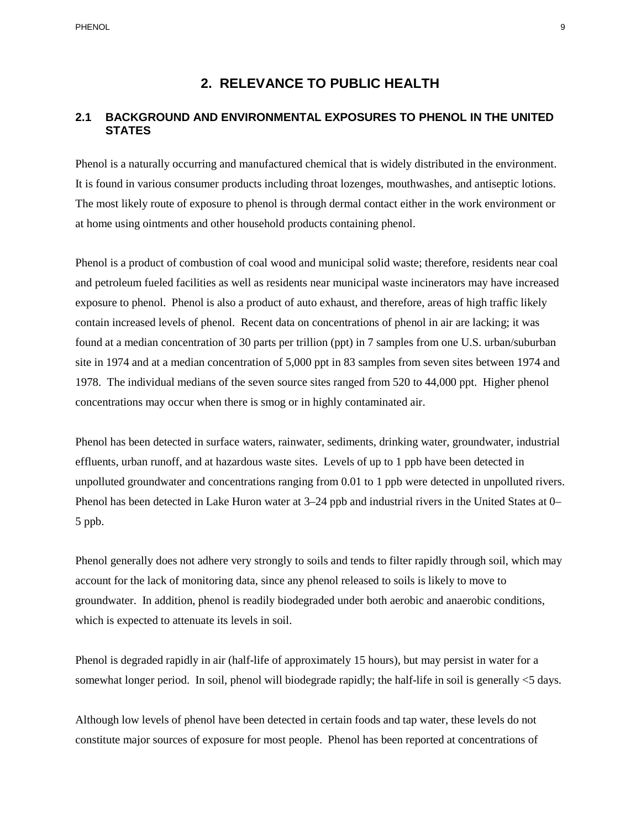# **2. RELEVANCE TO PUBLIC HEALTH**

# **2.1 BACKGROUND AND ENVIRONMENTAL EXPOSURES TO PHENOL IN THE UNITED STATES**

Phenol is a naturally occurring and manufactured chemical that is widely distributed in the environment. It is found in various consumer products including throat lozenges, mouthwashes, and antiseptic lotions. The most likely route of exposure to phenol is through dermal contact either in the work environment or at home using ointments and other household products containing phenol.

 Phenol is a product of combustion of coal wood and municipal solid waste; therefore, residents near coal exposure to phenol. Phenol is also a product of auto exhaust, and therefore, areas of high traffic likely contain increased levels of phenol. Recent data on concentrations of phenol in air are lacking; it was found at a median concentration of 30 parts per trillion (ppt) in 7 samples from one U.S. urban/suburban site in 1974 and at a median concentration of 5,000 ppt in 83 samples from seven sites between 1974 and 1978. The individual medians of the seven source sites ranged from 520 to 44,000 ppt. Higher phenol concentrations may occur when there is smog or in highly contaminated air. and petroleum fueled facilities as well as residents near municipal waste incinerators may have increased

 effluents, urban runoff, and at hazardous waste sites. Levels of up to 1 ppb have been detected in unpolluted groundwater and concentrations ranging from 0.01 to 1 ppb were detected in unpolluted rivers. Phenol has been detected in Lake Huron water at 3–24 ppb and industrial rivers in the United States at 0– 5 ppb. Phenol has been detected in surface waters, rainwater, sediments, drinking water, groundwater, industrial

 Phenol generally does not adhere very strongly to soils and tends to filter rapidly through soil, which may account for the lack of monitoring data, since any phenol released to soils is likely to move to groundwater. In addition, phenol is readily biodegraded under both aerobic and anaerobic conditions, which is expected to attenuate its levels in soil.

 somewhat longer period. In soil, phenol will biodegrade rapidly; the half-life in soil is generally <5 days. Phenol is degraded rapidly in air (half-life of approximately 15 hours), but may persist in water for a

 Although low levels of phenol have been detected in certain foods and tap water, these levels do not constitute major sources of exposure for most people. Phenol has been reported at concentrations of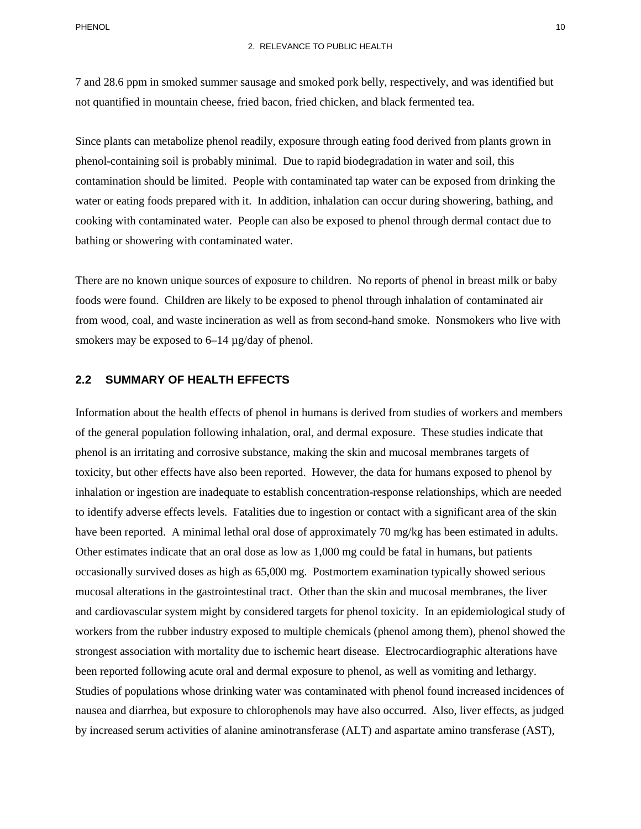7 and 28.6 ppm in smoked summer sausage and smoked pork belly, respectively, and was identified but not quantified in mountain cheese, fried bacon, fried chicken, and black fermented tea.

Since plants can metabolize phenol readily, exposure through eating food derived from plants grown in phenol-containing soil is probably minimal. Due to rapid biodegradation in water and soil, this contamination should be limited. People with contaminated tap water can be exposed from drinking the water or eating foods prepared with it. In addition, inhalation can occur during showering, bathing, and cooking with contaminated water. People can also be exposed to phenol through dermal contact due to bathing or showering with contaminated water.

There are no known unique sources of exposure to children. No reports of phenol in breast milk or baby foods were found. Children are likely to be exposed to phenol through inhalation of contaminated air from wood, coal, and waste incineration as well as from second-hand smoke. Nonsmokers who live with smokers may be exposed to  $6-14 \mu$ g/day of phenol.

## **2.2 SUMMARY OF HEALTH EFFECTS**

 of the general population following inhalation, oral, and dermal exposure. These studies indicate that phenol is an irritating and corrosive substance, making the skin and mucosal membranes targets of to identify adverse effects levels. Fatalities due to ingestion or contact with a significant area of the skin Other estimates indicate that an oral dose as low as 1,000 mg could be fatal in humans, but patients mucosal alterations in the gastrointestinal tract. Other than the skin and mucosal membranes, the liver workers from the rubber industry exposed to multiple chemicals (phenol among them), phenol showed the Information about the health effects of phenol in humans is derived from studies of workers and members toxicity, but other effects have also been reported. However, the data for humans exposed to phenol by inhalation or ingestion are inadequate to establish concentration-response relationships, which are needed have been reported. A minimal lethal oral dose of approximately 70 mg/kg has been estimated in adults. occasionally survived doses as high as 65,000 mg. Postmortem examination typically showed serious and cardiovascular system might by considered targets for phenol toxicity. In an epidemiological study of strongest association with mortality due to ischemic heart disease. Electrocardiographic alterations have been reported following acute oral and dermal exposure to phenol, as well as vomiting and lethargy. Studies of populations whose drinking water was contaminated with phenol found increased incidences of nausea and diarrhea, but exposure to chlorophenols may have also occurred. Also, liver effects, as judged by increased serum activities of alanine aminotransferase (ALT) and aspartate amino transferase (AST),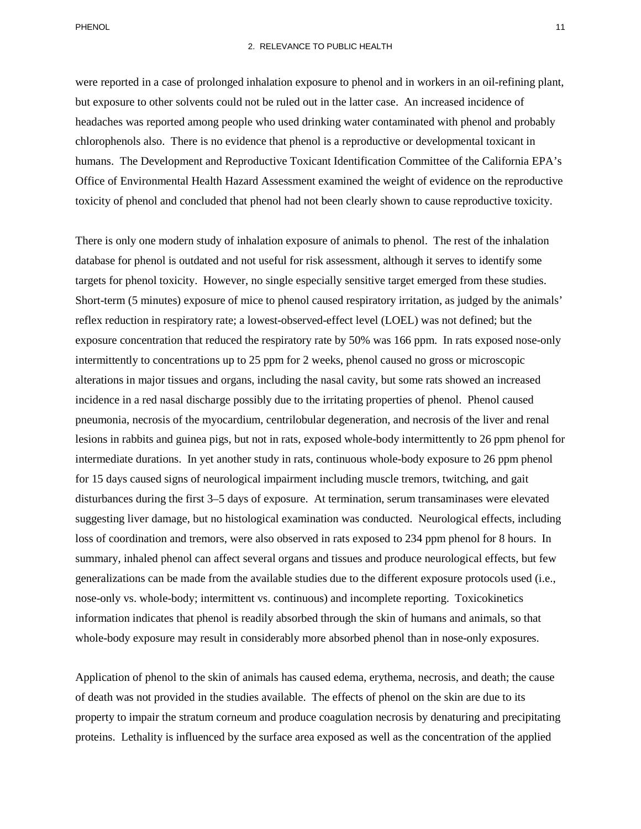#### 2. RELEVANCE TO PUBLIC HEALTH

 chlorophenols also. There is no evidence that phenol is a reproductive or developmental toxicant in were reported in a case of prolonged inhalation exposure to phenol and in workers in an oil-refining plant, but exposure to other solvents could not be ruled out in the latter case. An increased incidence of headaches was reported among people who used drinking water contaminated with phenol and probably humans. The Development and Reproductive Toxicant Identification Committee of the California EPA's Office of Environmental Health Hazard Assessment examined the weight of evidence on the reproductive toxicity of phenol and concluded that phenol had not been clearly shown to cause reproductive toxicity.

 There is only one modern study of inhalation exposure of animals to phenol. The rest of the inhalation exposure concentration that reduced the respiratory rate by 50% was 166 ppm. In rats exposed nose-only intermittently to concentrations up to 25 ppm for 2 weeks, phenol caused no gross or microscopic alterations in major tissues and organs, including the nasal cavity, but some rats showed an increased pneumonia, necrosis of the myocardium, centrilobular degeneration, and necrosis of the liver and renal intermediate durations. In yet another study in rats, continuous whole-body exposure to 26 ppm phenol information indicates that phenol is readily absorbed through the skin of humans and animals, so that database for phenol is outdated and not useful for risk assessment, although it serves to identify some targets for phenol toxicity. However, no single especially sensitive target emerged from these studies. Short-term (5 minutes) exposure of mice to phenol caused respiratory irritation, as judged by the animals' reflex reduction in respiratory rate; a lowest-observed-effect level (LOEL) was not defined; but the incidence in a red nasal discharge possibly due to the irritating properties of phenol. Phenol caused lesions in rabbits and guinea pigs, but not in rats, exposed whole-body intermittently to 26 ppm phenol for for 15 days caused signs of neurological impairment including muscle tremors, twitching, and gait disturbances during the first 3–5 days of exposure. At termination, serum transaminases were elevated suggesting liver damage, but no histological examination was conducted. Neurological effects, including loss of coordination and tremors, were also observed in rats exposed to 234 ppm phenol for 8 hours. In summary, inhaled phenol can affect several organs and tissues and produce neurological effects, but few generalizations can be made from the available studies due to the different exposure protocols used (i.e., nose-only vs. whole-body; intermittent vs. continuous) and incomplete reporting. Toxicokinetics whole-body exposure may result in considerably more absorbed phenol than in nose-only exposures.

 Application of phenol to the skin of animals has caused edema, erythema, necrosis, and death; the cause of death was not provided in the studies available. The effects of phenol on the skin are due to its property to impair the stratum corneum and produce coagulation necrosis by denaturing and precipitating proteins. Lethality is influenced by the surface area exposed as well as the concentration of the applied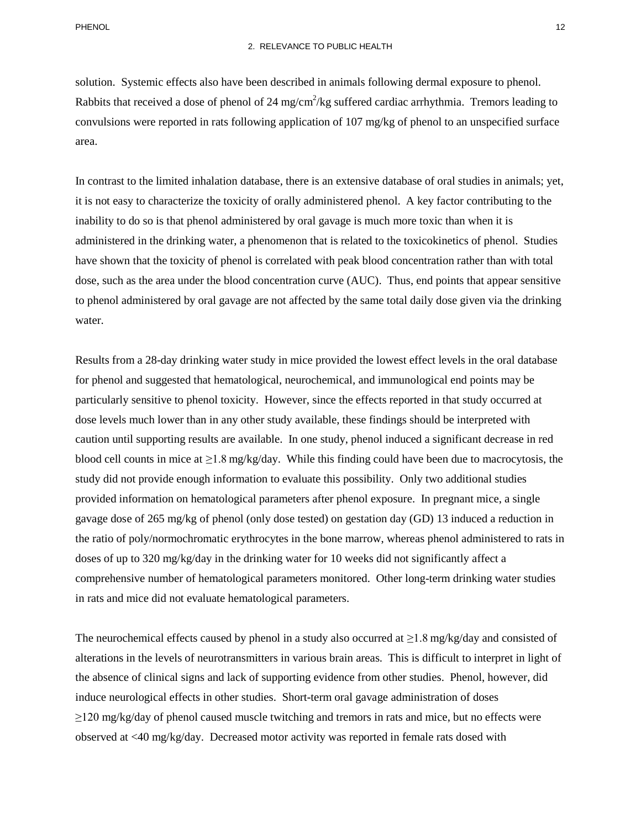Rabbits that received a dose of phenol of 24 mg/cm<sup>2</sup>/kg suffered cardiac arrhythmia. Tremors leading to area. solution. Systemic effects also have been described in animals following dermal exposure to phenol. convulsions were reported in rats following application of 107 mg/kg of phenol to an unspecified surface

 have shown that the toxicity of phenol is correlated with peak blood concentration rather than with total dose, such as the area under the blood concentration curve (AUC). Thus, end points that appear sensitive In contrast to the limited inhalation database, there is an extensive database of oral studies in animals; yet, it is not easy to characterize the toxicity of orally administered phenol. A key factor contributing to the inability to do so is that phenol administered by oral gavage is much more toxic than when it is administered in the drinking water, a phenomenon that is related to the toxicokinetics of phenol. Studies to phenol administered by oral gavage are not affected by the same total daily dose given via the drinking water.

 blood cell counts in mice at ≥1.8 mg/kg/day. While this finding could have been due to macrocytosis, the gavage dose of 265 mg/kg of phenol (only dose tested) on gestation day (GD) 13 induced a reduction in doses of up to 320 mg/kg/day in the drinking water for 10 weeks did not significantly affect a Results from a 28-day drinking water study in mice provided the lowest effect levels in the oral database for phenol and suggested that hematological, neurochemical, and immunological end points may be particularly sensitive to phenol toxicity. However, since the effects reported in that study occurred at dose levels much lower than in any other study available, these findings should be interpreted with caution until supporting results are available. In one study, phenol induced a significant decrease in red study did not provide enough information to evaluate this possibility. Only two additional studies provided information on hematological parameters after phenol exposure. In pregnant mice, a single the ratio of poly/normochromatic erythrocytes in the bone marrow, whereas phenol administered to rats in comprehensive number of hematological parameters monitored. Other long-term drinking water studies in rats and mice did not evaluate hematological parameters.

The neurochemical effects caused by phenol in a study also occurred at  $\geq$ 1.8 mg/kg/day and consisted of alterations in the levels of neurotransmitters in various brain areas. This is difficult to interpret in light of induce neurological effects in other studies. Short-term oral gavage administration of doses the absence of clinical signs and lack of supporting evidence from other studies. Phenol, however, did  $\geq$ 120 mg/kg/day of phenol caused muscle twitching and tremors in rats and mice, but no effects were observed at <40 mg/kg/day. Decreased motor activity was reported in female rats dosed with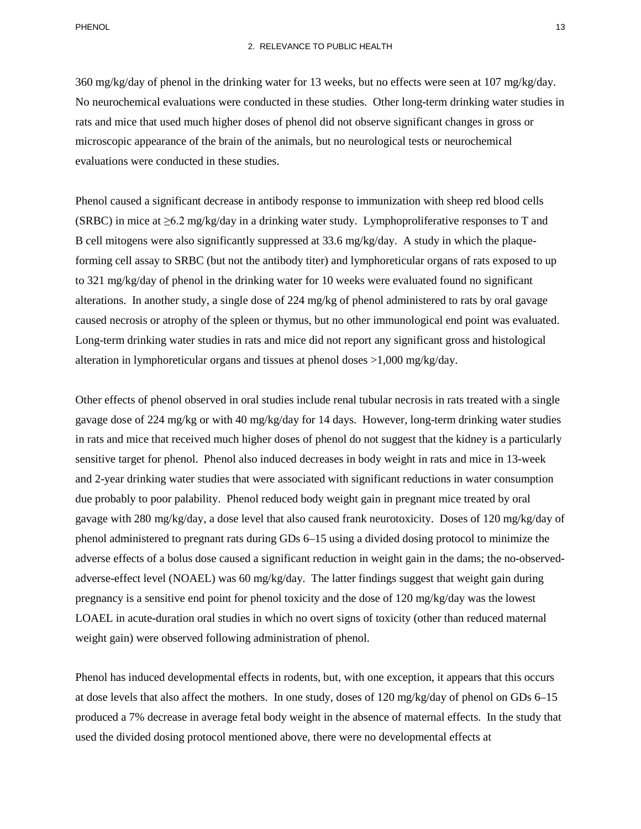360 mg/kg/day of phenol in the drinking water for 13 weeks, but no effects were seen at 107 mg/kg/day. No neurochemical evaluations were conducted in these studies. Other long-term drinking water studies in rats and mice that used much higher doses of phenol did not observe significant changes in gross or microscopic appearance of the brain of the animals, but no neurological tests or neurochemical evaluations were conducted in these studies.

 Phenol caused a significant decrease in antibody response to immunization with sheep red blood cells (SRBC) in mice at  $\geq 6.2$  mg/kg/day in a drinking water study. Lymphoproliferative responses to T and forming cell assay to SRBC (but not the antibody titer) and lymphoreticular organs of rats exposed to up caused necrosis or atrophy of the spleen or thymus, but no other immunological end point was evaluated. B cell mitogens were also significantly suppressed at 33.6 mg/kg/day. A study in which the plaqueto 321 mg/kg/day of phenol in the drinking water for 10 weeks were evaluated found no significant alterations. In another study, a single dose of 224 mg/kg of phenol administered to rats by oral gavage Long-term drinking water studies in rats and mice did not report any significant gross and histological alteration in lymphoreticular organs and tissues at phenol doses >1,000 mg/kg/day.

 sensitive target for phenol. Phenol also induced decreases in body weight in rats and mice in 13-week and 2-year drinking water studies that were associated with significant reductions in water consumption phenol administered to pregnant rats during GDs 6–15 using a divided dosing protocol to minimize the pregnancy is a sensitive end point for phenol toxicity and the dose of 120 mg/kg/day was the lowest Other effects of phenol observed in oral studies include renal tubular necrosis in rats treated with a single gavage dose of 224 mg/kg or with 40 mg/kg/day for 14 days. However, long-term drinking water studies in rats and mice that received much higher doses of phenol do not suggest that the kidney is a particularly due probably to poor palability. Phenol reduced body weight gain in pregnant mice treated by oral gavage with 280 mg/kg/day, a dose level that also caused frank neurotoxicity. Doses of 120 mg/kg/day of adverse effects of a bolus dose caused a significant reduction in weight gain in the dams; the no-observedadverse-effect level (NOAEL) was 60 mg/kg/day. The latter findings suggest that weight gain during LOAEL in acute-duration oral studies in which no overt signs of toxicity (other than reduced maternal weight gain) were observed following administration of phenol.

 Phenol has induced developmental effects in rodents, but, with one exception, it appears that this occurs at dose levels that also affect the mothers. In one study, doses of 120 mg/kg/day of phenol on GDs 6–15 used the divided dosing protocol mentioned above, there were no developmental effects at produced a 7% decrease in average fetal body weight in the absence of maternal effects. In the study that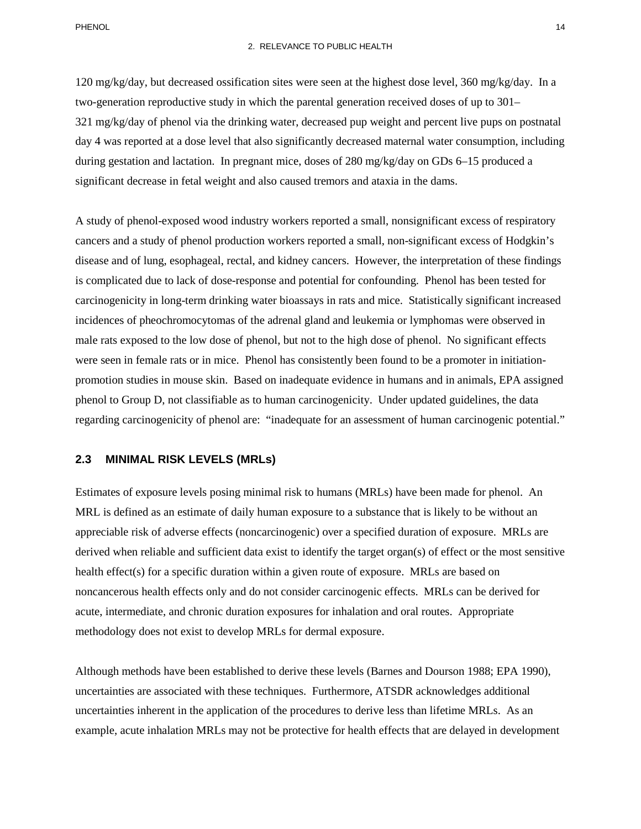120 mg/kg/day, but decreased ossification sites were seen at the highest dose level, 360 mg/kg/day. In a two-generation reproductive study in which the parental generation received doses of up to 301– 321 mg/kg/day of phenol via the drinking water, decreased pup weight and percent live pups on postnatal day 4 was reported at a dose level that also significantly decreased maternal water consumption, including during gestation and lactation. In pregnant mice, doses of 280 mg/kg/day on GDs 6–15 produced a significant decrease in fetal weight and also caused tremors and ataxia in the dams.

 cancers and a study of phenol production workers reported a small, non-significant excess of Hodgkin's were seen in female rats or in mice. Phenol has consistently been found to be a promoter in initiation- regarding carcinogenicity of phenol are: "inadequate for an assessment of human carcinogenic potential." A study of phenol-exposed wood industry workers reported a small, nonsignificant excess of respiratory disease and of lung, esophageal, rectal, and kidney cancers. However, the interpretation of these findings is complicated due to lack of dose-response and potential for confounding. Phenol has been tested for carcinogenicity in long-term drinking water bioassays in rats and mice. Statistically significant increased incidences of pheochromocytomas of the adrenal gland and leukemia or lymphomas were observed in male rats exposed to the low dose of phenol, but not to the high dose of phenol. No significant effects promotion studies in mouse skin. Based on inadequate evidence in humans and in animals, EPA assigned phenol to Group D, not classifiable as to human carcinogenicity. Under updated guidelines, the data

## **2.3 MINIMAL RISK LEVELS (MRLs)**

 noncancerous health effects only and do not consider carcinogenic effects. MRLs can be derived for Estimates of exposure levels posing minimal risk to humans (MRLs) have been made for phenol. An MRL is defined as an estimate of daily human exposure to a substance that is likely to be without an appreciable risk of adverse effects (noncarcinogenic) over a specified duration of exposure. MRLs are derived when reliable and sufficient data exist to identify the target organ(s) of effect or the most sensitive health effect(s) for a specific duration within a given route of exposure. MRLs are based on acute, intermediate, and chronic duration exposures for inhalation and oral routes. Appropriate methodology does not exist to develop MRLs for dermal exposure.

Although methods have been established to derive these levels (Barnes and Dourson 1988; EPA 1990), uncertainties are associated with these techniques. Furthermore, ATSDR acknowledges additional uncertainties inherent in the application of the procedures to derive less than lifetime MRLs. As an example, acute inhalation MRLs may not be protective for health effects that are delayed in development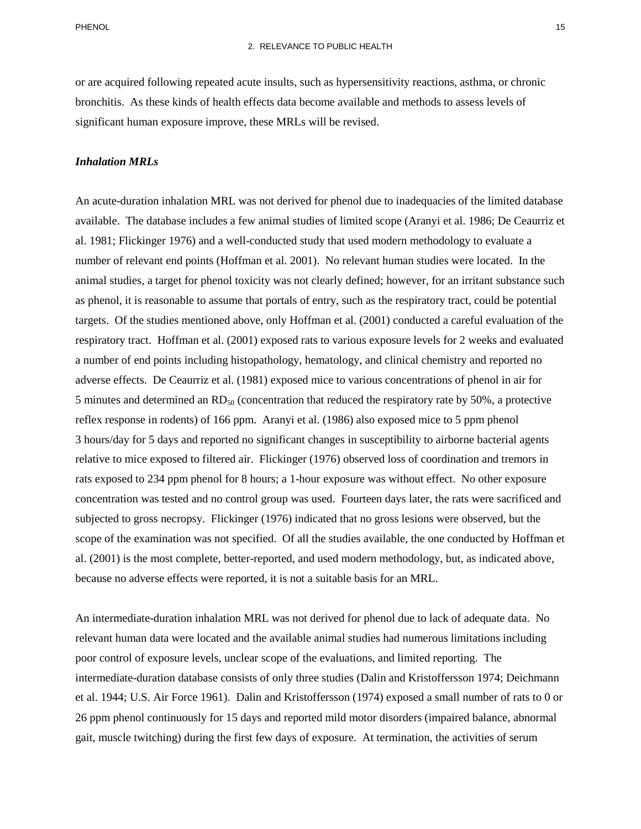or are acquired following repeated acute insults, such as hypersensitivity reactions, asthma, or chronic bronchitis. As these kinds of health effects data become available and methods to assess levels of significant human exposure improve, these MRLs will be revised.

### *Inhalation MRLs*

 An acute-duration inhalation MRL was not derived for phenol due to inadequacies of the limited database available. The database includes a few animal studies of limited scope (Aranyi et al. 1986; De Ceaurriz et number of relevant end points (Hoffman et al. 2001). No relevant human studies were located. In the targets. Of the studies mentioned above, only Hoffman et al. (2001) conducted a careful evaluation of the respiratory tract. Hoffman et al. (2001) exposed rats to various exposure levels for 2 weeks and evaluated reflex response in rodents) of 166 ppm. Aranyi et al. (1986) also exposed mice to 5 ppm phenol scope of the examination was not specified. Of all the studies available, the one conducted by Hoffman et al. 1981; Flickinger 1976) and a well-conducted study that used modern methodology to evaluate a animal studies, a target for phenol toxicity was not clearly defined; however, for an irritant substance such as phenol, it is reasonable to assume that portals of entry, such as the respiratory tract, could be potential a number of end points including histopathology, hematology, and clinical chemistry and reported no adverse effects. De Ceaurriz et al. (1981) exposed mice to various concentrations of phenol in air for 5 minutes and determined an  $RD_{50}$  (concentration that reduced the respiratory rate by 50%, a protective 3 hours/day for 5 days and reported no significant changes in susceptibility to airborne bacterial agents relative to mice exposed to filtered air. Flickinger (1976) observed loss of coordination and tremors in rats exposed to 234 ppm phenol for 8 hours; a 1-hour exposure was without effect. No other exposure concentration was tested and no control group was used. Fourteen days later, the rats were sacrificed and subjected to gross necropsy. Flickinger (1976) indicated that no gross lesions were observed, but the al. (2001) is the most complete, better-reported, and used modern methodology, but, as indicated above, because no adverse effects were reported, it is not a suitable basis for an MRL.

 An intermediate-duration inhalation MRL was not derived for phenol due to lack of adequate data. No relevant human data were located and the available animal studies had numerous limitations including poor control of exposure levels, unclear scope of the evaluations, and limited reporting. The intermediate-duration database consists of only three studies (Dalin and Kristoffersson 1974; Deichmann et al. 1944; U.S. Air Force 1961). Dalin and Kristoffersson (1974) exposed a small number of rats to 0 or 26 ppm phenol continuously for 15 days and reported mild motor disorders (impaired balance, abnormal gait, muscle twitching) during the first few days of exposure. At termination, the activities of serum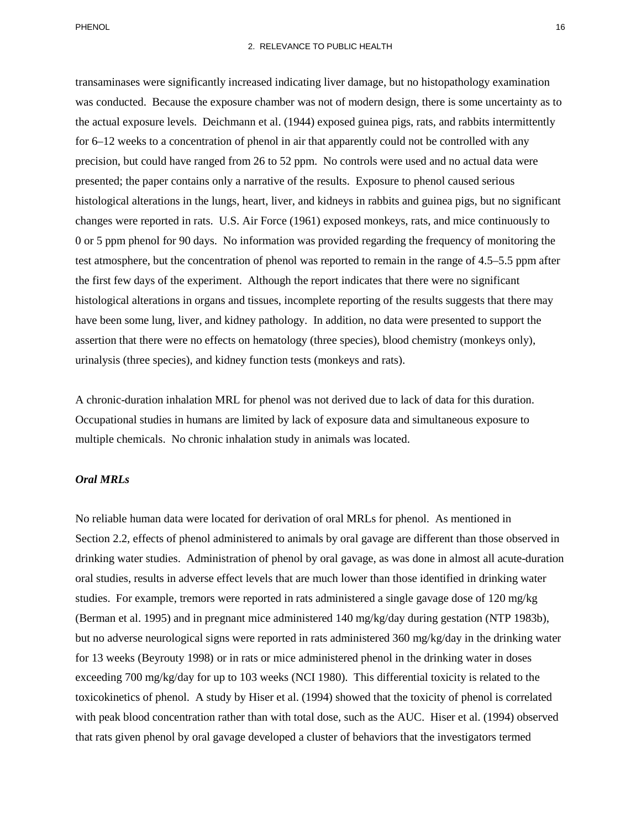for 6–12 weeks to a concentration of phenol in air that apparently could not be controlled with any presented; the paper contains only a narrative of the results. Exposure to phenol caused serious histological alterations in the lungs, heart, liver, and kidneys in rabbits and guinea pigs, but no significant 0 or 5 ppm phenol for 90 days. No information was provided regarding the frequency of monitoring the test atmosphere, but the concentration of phenol was reported to remain in the range of 4.5–5.5 ppm after the first few days of the experiment. Although the report indicates that there were no significant have been some lung, liver, and kidney pathology. In addition, no data were presented to support the transaminases were significantly increased indicating liver damage, but no histopathology examination was conducted. Because the exposure chamber was not of modern design, there is some uncertainty as to the actual exposure levels. Deichmann et al. (1944) exposed guinea pigs, rats, and rabbits intermittently precision, but could have ranged from 26 to 52 ppm. No controls were used and no actual data were changes were reported in rats. U.S. Air Force (1961) exposed monkeys, rats, and mice continuously to histological alterations in organs and tissues, incomplete reporting of the results suggests that there may assertion that there were no effects on hematology (three species), blood chemistry (monkeys only), urinalysis (three species), and kidney function tests (monkeys and rats).

 A chronic-duration inhalation MRL for phenol was not derived due to lack of data for this duration. Occupational studies in humans are limited by lack of exposure data and simultaneous exposure to multiple chemicals. No chronic inhalation study in animals was located.

## *Oral MRLs*

 No reliable human data were located for derivation of oral MRLs for phenol. As mentioned in Section 2.2, effects of phenol administered to animals by oral gavage are different than those observed in studies. For example, tremors were reported in rats administered a single gavage dose of 120 mg/kg (Berman et al. 1995) and in pregnant mice administered 140 mg/kg/day during gestation (NTP 1983b), toxicokinetics of phenol. A study by Hiser et al. (1994) showed that the toxicity of phenol is correlated drinking water studies. Administration of phenol by oral gavage, as was done in almost all acute-duration oral studies, results in adverse effect levels that are much lower than those identified in drinking water but no adverse neurological signs were reported in rats administered 360 mg/kg/day in the drinking water for 13 weeks (Beyrouty 1998) or in rats or mice administered phenol in the drinking water in doses exceeding 700 mg/kg/day for up to 103 weeks (NCI 1980). This differential toxicity is related to the with peak blood concentration rather than with total dose, such as the AUC. Hiser et al. (1994) observed that rats given phenol by oral gavage developed a cluster of behaviors that the investigators termed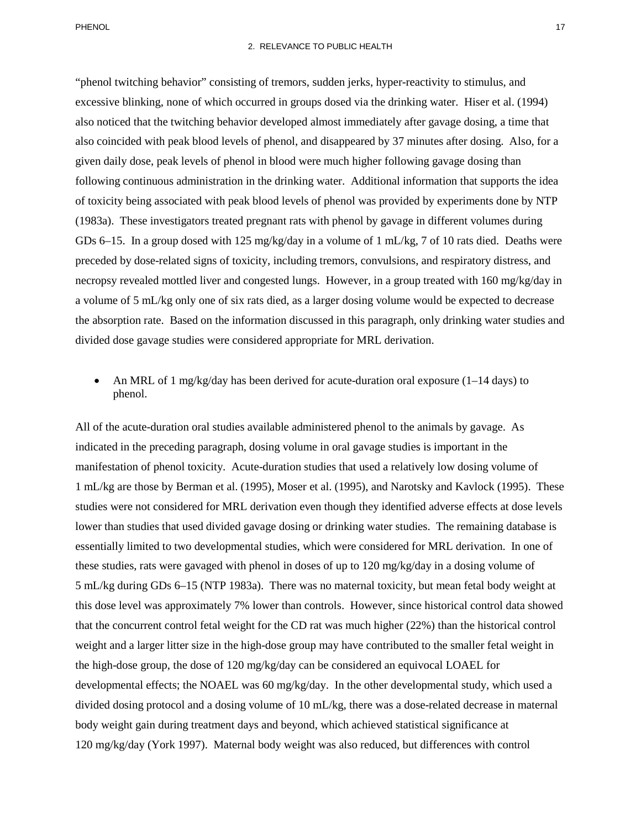excessive blinking, none of which occurred in groups dosed via the drinking water. Hiser et al. (1994) also noticed that the twitching behavior developed almost immediately after gavage dosing, a time that following continuous administration in the drinking water. Additional information that supports the idea a volume of 5 mL/kg only one of six rats died, as a larger dosing volume would be expected to decrease "phenol twitching behavior" consisting of tremors, sudden jerks, hyper-reactivity to stimulus, and also coincided with peak blood levels of phenol, and disappeared by 37 minutes after dosing. Also, for a given daily dose, peak levels of phenol in blood were much higher following gavage dosing than of toxicity being associated with peak blood levels of phenol was provided by experiments done by NTP (1983a). These investigators treated pregnant rats with phenol by gavage in different volumes during GDs 6–15. In a group dosed with 125 mg/kg/day in a volume of 1 mL/kg, 7 of 10 rats died. Deaths were preceded by dose-related signs of toxicity, including tremors, convulsions, and respiratory distress, and necropsy revealed mottled liver and congested lungs. However, in a group treated with 160 mg/kg/day in the absorption rate. Based on the information discussed in this paragraph, only drinking water studies and divided dose gavage studies were considered appropriate for MRL derivation.

An MRL of 1 mg/kg/day has been derived for acute-duration oral exposure  $(1-14 \text{ days})$  to phenol.

 indicated in the preceding paragraph, dosing volume in oral gavage studies is important in the 1 mL/kg are those by Berman et al. (1995), Moser et al. (1995), and Narotsky and Kavlock (1995). These lower than studies that used divided gavage dosing or drinking water studies. The remaining database is that the concurrent control fetal weight for the CD rat was much higher (22%) than the historical control weight and a larger litter size in the high-dose group may have contributed to the smaller fetal weight in the high-dose group, the dose of 120 mg/kg/day can be considered an equivocal LOAEL for All of the acute-duration oral studies available administered phenol to the animals by gavage. As manifestation of phenol toxicity. Acute-duration studies that used a relatively low dosing volume of studies were not considered for MRL derivation even though they identified adverse effects at dose levels essentially limited to two developmental studies, which were considered for MRL derivation. In one of these studies, rats were gavaged with phenol in doses of up to 120 mg/kg/day in a dosing volume of 5 mL/kg during GDs 6–15 (NTP 1983a). There was no maternal toxicity, but mean fetal body weight at this dose level was approximately 7% lower than controls. However, since historical control data showed developmental effects; the NOAEL was 60 mg/kg/day. In the other developmental study, which used a divided dosing protocol and a dosing volume of 10 mL/kg, there was a dose-related decrease in maternal body weight gain during treatment days and beyond, which achieved statistical significance at 120 mg/kg/day (York 1997). Maternal body weight was also reduced, but differences with control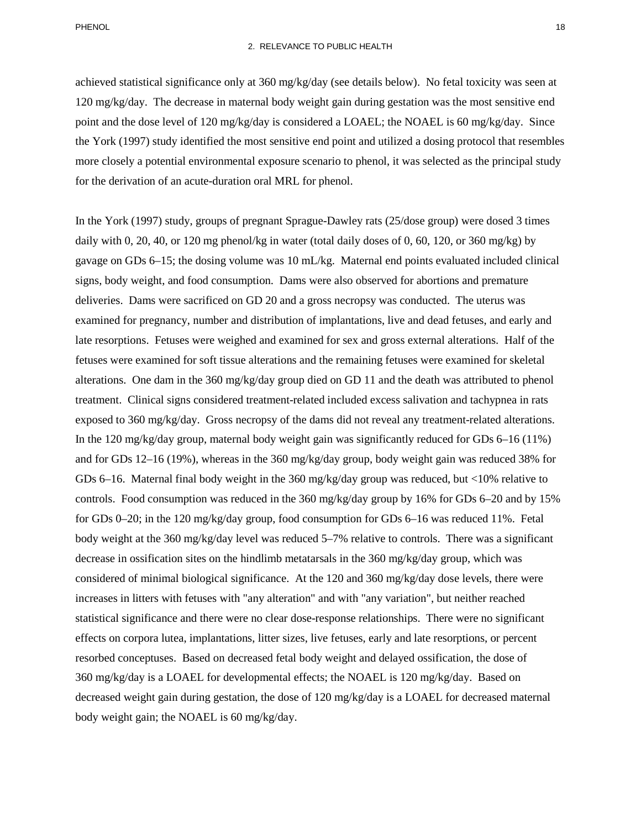PHENOL 218 and 22 and 22 and 23 and 23 and 23 and 23 and 23 and 23 and 23 and 23 and 24 and 25 and 26 and 26 and 26 and 26 and 26 and 26 and 26 and 26 and 26 and 26 and 26 and 26 and 26 and 26 and 26 and 26 and 26 and 26 a

 the York (1997) study identified the most sensitive end point and utilized a dosing protocol that resembles more closely a potential environmental exposure scenario to phenol, it was selected as the principal study achieved statistical significance only at 360 mg/kg/day (see details below). No fetal toxicity was seen at 120 mg/kg/day. The decrease in maternal body weight gain during gestation was the most sensitive end point and the dose level of 120 mg/kg/day is considered a LOAEL; the NOAEL is 60 mg/kg/day. Since for the derivation of an acute-duration oral MRL for phenol.

 deliveries. Dams were sacrificed on GD 20 and a gross necropsy was conducted. The uterus was late resorptions. Fetuses were weighed and examined for sex and gross external alterations. Half of the exposed to 360 mg/kg/day. Gross necropsy of the dams did not reveal any treatment-related alterations. In the 120 mg/kg/day group, maternal body weight gain was significantly reduced for GDs 6–16 (11%) GDs 6–16. Maternal final body weight in the 360 mg/kg/day group was reduced, but <10% relative to controls. Food consumption was reduced in the 360 mg/kg/day group by 16% for GDs 6–20 and by 15% for GDs 0–20; in the 120 mg/kg/day group, food consumption for GDs 6–16 was reduced 11%. Fetal body weight at the 360 mg/kg/day level was reduced 5–7% relative to controls. There was a significant decrease in ossification sites on the hindlimb metatarsals in the 360 mg/kg/day group, which was considered of minimal biological significance. At the 120 and 360 mg/kg/day dose levels, there were decreased weight gain during gestation, the dose of 120 mg/kg/day is a LOAEL for decreased maternal body weight gain; the NOAEL is 60 mg/kg/day. In the York (1997) study, groups of pregnant Sprague-Dawley rats (25/dose group) were dosed 3 times daily with 0, 20, 40, or 120 mg phenol/kg in water (total daily doses of 0, 60, 120, or 360 mg/kg) by gavage on GDs 6–15; the dosing volume was 10 mL/kg. Maternal end points evaluated included clinical signs, body weight, and food consumption. Dams were also observed for abortions and premature examined for pregnancy, number and distribution of implantations, live and dead fetuses, and early and fetuses were examined for soft tissue alterations and the remaining fetuses were examined for skeletal alterations. One dam in the 360 mg/kg/day group died on GD 11 and the death was attributed to phenol treatment. Clinical signs considered treatment-related included excess salivation and tachypnea in rats and for GDs 12–16 (19%), whereas in the 360 mg/kg/day group, body weight gain was reduced 38% for increases in litters with fetuses with "any alteration" and with "any variation", but neither reached statistical significance and there were no clear dose-response relationships. There were no significant effects on corpora lutea, implantations, litter sizes, live fetuses, early and late resorptions, or percent resorbed conceptuses. Based on decreased fetal body weight and delayed ossification, the dose of 360 mg/kg/day is a LOAEL for developmental effects; the NOAEL is 120 mg/kg/day. Based on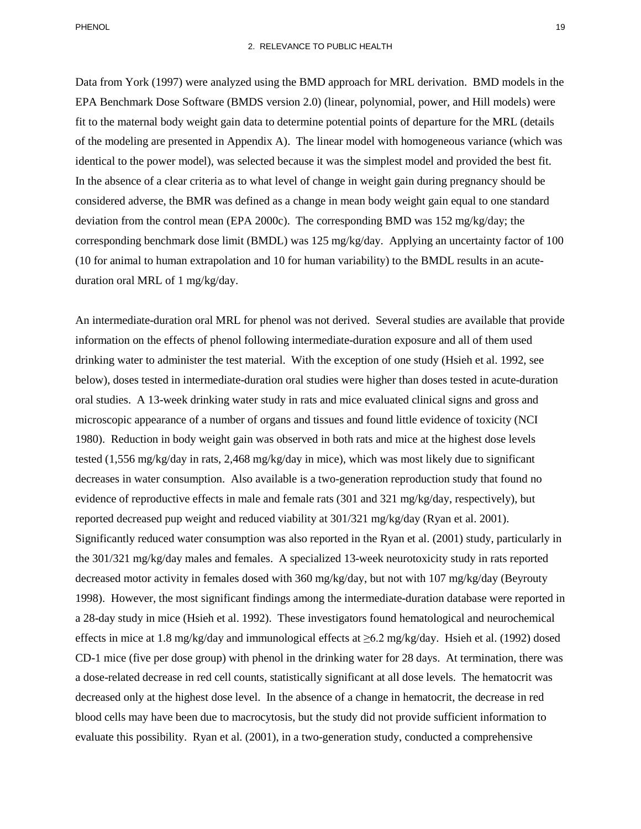Data from York (1997) were analyzed using the BMD approach for MRL derivation. BMD models in the fit to the maternal body weight gain data to determine potential points of departure for the MRL (details of the modeling are presented in Appendix A). The linear model with homogeneous variance (which was identical to the power model), was selected because it was the simplest model and provided the best fit. deviation from the control mean (EPA 2000c). The corresponding BMD was 152 mg/kg/day; the duration oral MRL of 1 mg/kg/day. EPA Benchmark Dose Software (BMDS version 2.0) (linear, polynomial, power, and Hill models) were In the absence of a clear criteria as to what level of change in weight gain during pregnancy should be considered adverse, the BMR was defined as a change in mean body weight gain equal to one standard corresponding benchmark dose limit (BMDL) was 125 mg/kg/day. Applying an uncertainty factor of 100 (10 for animal to human extrapolation and 10 for human variability) to the BMDL results in an acute-

 drinking water to administer the test material. With the exception of one study (Hsieh et al. 1992, see 1980). Reduction in body weight gain was observed in both rats and mice at the highest dose levels 1998). However, the most significant findings among the intermediate-duration database were reported in effects in mice at 1.8 mg/kg/day and immunological effects at ≥6.2 mg/kg/day. Hsieh et al. (1992) dosed An intermediate-duration oral MRL for phenol was not derived. Several studies are available that provide information on the effects of phenol following intermediate-duration exposure and all of them used below), doses tested in intermediate-duration oral studies were higher than doses tested in acute-duration oral studies. A 13-week drinking water study in rats and mice evaluated clinical signs and gross and microscopic appearance of a number of organs and tissues and found little evidence of toxicity (NCI tested (1,556 mg/kg/day in rats, 2,468 mg/kg/day in mice), which was most likely due to significant decreases in water consumption. Also available is a two-generation reproduction study that found no evidence of reproductive effects in male and female rats (301 and 321 mg/kg/day, respectively), but reported decreased pup weight and reduced viability at 301/321 mg/kg/day (Ryan et al. 2001). Significantly reduced water consumption was also reported in the Ryan et al. (2001) study, particularly in the 301/321 mg/kg/day males and females. A specialized 13-week neurotoxicity study in rats reported decreased motor activity in females dosed with 360 mg/kg/day, but not with 107 mg/kg/day (Beyrouty a 28-day study in mice (Hsieh et al. 1992). These investigators found hematological and neurochemical CD-1 mice (five per dose group) with phenol in the drinking water for 28 days. At termination, there was a dose-related decrease in red cell counts, statistically significant at all dose levels. The hematocrit was decreased only at the highest dose level. In the absence of a change in hematocrit, the decrease in red blood cells may have been due to macrocytosis, but the study did not provide sufficient information to evaluate this possibility. Ryan et al. (2001), in a two-generation study, conducted a comprehensive